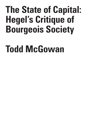# **The State of Capital: Hegel's Critique of Bourgeois Society**

# **Todd McGowan**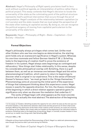**Abstract:** Hegel's *Philosophy of Right* openly proclaims itself to be a work without a political agenda, an interpretation of politics rather than a political project. This essay contends that Hegel's decision to locate the universality of the state as the culminating point of the political structure represents itself a political intervention that occurs through the act of interpretation. Hegel's analysis of the relationship between capitalism (or civil society) and the state reveals that we must adopt the perspective of the state when looking at capitalist society. By doing so, we can recognize the political exigency of moving from capitalist particularism to the universality of the state form.

**Keywords:** Hegel – Philosophy of Right – State – Capitalism – Civil Society – Absolute

# **Formal Objections**

Hegel's philosophy always privileges what comes last. Unlike most other thinkers who see how one begins as determinative, the starting point holds only an evanescent significance in Hegel's system. Whereas his one-time roommate and fellow German Idealist F. W. J. Schelling looks to the beginning of creation itself to prove the existence of freedom in his system, Hegel always sees beginnings as contingent and obfuscatory.1 How things start hides relationality. In this sense, despite his considerable philosophical overlap with Schelling, there is a gulf between them, as well as an immense one between Hegel and the entire phenomenological tradition, which yearns to return to beginnings to discover what is original in our experience. This is the sense of Edmund Husserl's famous claim, "we must go back to the 'things themselves.'"2 Phenomenology aims at uncovering the initial point of the experience of things that subsequent thinking about this experience covers. Hegel moves in exactly the opposite direction. For him, the illusory immediacy of the beginning in which a direct relation appears operative gains its significance only when we discover the mediation that underlies it. $3$ 

The works of Hegel begin with what appears as the most concrete position but is actually the most abstract. The abstraction of the beginning

2 Husserl 2002, p. 168.

U E / Volume 8

C R I S I S & C R I T I Q

Issue 2

<sup>1</sup> In his essay on freedom, Schelling locates the capacity for evil, which he sees as the sine qua non of human freedom, in the distinction between what exists and the ground out of which what exists emerges. Without this distinction at the heart of the creation of the universe, we could not conceive of ourselves as free. Rather than simply seek out freedom at the beginning of an individual subject's existence, Schelling looks to the beginning of everything. Hegel, in contrast, locates freedom in how we end up, no matter how things start. See Schelling 2006.

<sup>3</sup> Despite writing a book entitled the *Phenomenology of Spirit*, Hegel is a rabid anti-phenomenologist, even though the practice didn't yet exist during his lifetime.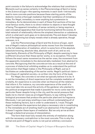point consists in the failure to acknowledge the relations that constitute it. Moments such as sense certainty in the *Phenomenology of Spirit* or being in the *Science of Logic*—the opening moments in each work—intrinsically lead to more concrete positions because these starting points of the dialectic involve a thorough mediation that their semblance of immediacy hides. For Hegel, immediacy is never anything but a pretension to immediacy. As he demonstrates in each of these first sections of his two most famous works, there is no direct relation to objects or bare thought of being. The apparent immediacy of sense certainty or being requires a vast conceptual apparatus that must be functioning behind the scenes. A total network of relationality informs the simplest interaction or substance, which is what each work goes on to demonstrate. The end doesn't develop out of the beginning but simply reveals what is already operative, though unknown, in it.

Like the *Phenomenology of Spirit* and the *Science of Logic*, each one of Hegel's mature philosophical works moves from the immediate to the full elaboration of mediation, which is some form of the absolute (absolute knowing, absolute idea, absolute work of art, and so on). Importantly, *Elements of the Philosophy of Right*, despite seeming to have a different structure than these earlier works, is no exception. This work follows the exact same movement as the earlier ones, the movement from the apparently immediate to the demonstrably mediated, from abstract to concrete. Recognizing that the concrete arrives as a result at the end of a process of dialectical unfolding enables us to understand the political intervention that Hegel makes in the *Philosophy of Right*, just as it facilitates an understanding of the earlier works. Hegel's political claim his critique of capitalist society—is written into the form of the book.

For Hegel, the concrete is not what we typically believe it to be. It is not the immediacy of direct experience but the complete mediation of a totality. An experience is concrete when we theorize all the relations that inform it. For instance, my concrete experience of the smell of a rose must take into account the activity of the gardener who planted it, the political arrangement that made it possible for me to come near this particular flower despite living in the city, and the social pressure that leads me to cherish roses as privileged flowers, to say nothing of the biological processes that produce the particular plant and its fragrance. Obviously, I can just enjoy smelling a rose without contemplating all of these mediating factors, but in order to understand it, I must. Thought doesn't eradicate the experience but plays a necessary role in constituting it. The immediate act of smelling itself is an abstraction if the thought of it doesn't register these layers of mediation. But we only arrive at them through a dialectical process of interpretation.

The form that most fully reveals the entirety of mediation along with the necessary contradiction is the most concrete. This is why the formal end point of Hegel's works is not just an arbitrary conclusion

T  $\mathbf{I}$ Q U E /

C R I S I S & C R I

Volume 8 Issue 2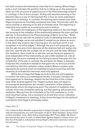but itself contains the theoretical claim that he is making. Where Hegel ends a work indicates the position that he is taking up on the question at hand, be it the structure of experience as in the *Phenomenology of Spirit* or ontology in the *Science of Logic*. Ending with absolute knowing or the absolute idea is a way of claiming that this is how we must understand experience or ontology. In contrast, the starting point reveals only what Hegel recognizes as inevitably surpassed and never intrinsically valid. Its value consists in showing us its lack of ultimate value. The beginning is important only insofar as it contains the end in embryo.

To explain the inadequacy of the beginning relative to the end. Hegel has recourse to the metaphor of the relationship between the acorn and the oak tree. In the preface to the *Phenomenology of Spirit*, he writes, "When we wish to see an oak with its powerful trunk, its spreading branches, and its mass of foliage, we are not satisfied if instead we are shown an acorn. In the same way, science, the crowning glory of a spiritual world, is not completed in its initial stages."4 Although the acorn will eventually grow into the oak, the acorn form obscures all the relations that will sustain the oak tree—specifically the sunlight, the air, the soil, and the water. Without this mediation, there could be no oak tree, and yet, the acorn appears to exist independent of this relationality, as just a little isolated nut. Like all beginnings, the acorn misleads us into failing to see all that goes into the constitution of the tree. In contrast, the end point, for Hegel, is absolute. It exposes the constitutive mediation that goes into its structure and the contradiction that this mediation makes evident. Where a system ends represents the point at which its mediated structure reconciled with the necessity of contradiction becomes most fully apparent.

While the privilege that Hegel accords to the end point appears to confirm his status as a teleological thinker, it actually indicates his total opposition to teleology, despite the fact that this is the critique most often levelled against him.5 Hegel's system does not depict a chronological development but instead a revelation of the relations that already inform the beginning point. The network of mediation that unfolds inform the immediate opening, but that opening obfuscates this mediation. Moving from the immediate to the fully mediated is, in the most important sense, not a movement at all and thus not an indication of Hegel's investment in teleology. It also forms the basis for the political contribution that Hegel's philosophy makes.

4 Hegel, 2018, p. 9.

5 For instance, Kojin Karatani argues that in Hegel's thought "every becoming is realized teleologically as a self-realization of spirit." Kojin Karatani, *Transcritique on Kant and Marx*, trans. Sabu Kohso (Cambridge: MIT Press, 2003), 188. Karantani asserts this point in order to defend Kant against Hegel's critique of him, but this line of thought is widespread among Hegel's detractors (and even some of his partisans).

S I S & C R I T I Q U E / Volume 8

Issue 2

C R I

229 The State of Capital: Hegel's Critique of Bourgeois Society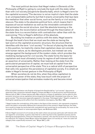The most political decision that Hegel makes in *Elements of the Philosophy of Right* is opting to conclude the book with the state rather than with civil society [*bürgerliche Gesellschaft*], which is Hegel's term for the capitalist economy. $^{\rm 6}$ The decision is not an implicit claim that the state is an unimpeachable authority but that it enacts universality that lays bare the mediation that other social forms, such as the family or civil society, obscure. The state is the absolute political form, which means that it exposes all social mediation as well as the intractable contradiction that animates the social structure. Just like absolute knowing or the absolute idea, the reconciliation achieved through the theorization of the state form is a reconciliation with contradiction rather than with its overcoming.7 This is Hegel's definition of the absolute.

By ending his treatise on politics with the state, Hegel asserts through the book's form that we must see the state as having the last word on the capitalist economic structure, the structure that he identifies with the term "civil society."8 In the act of placing the state in this position, he implicitly claims that capitalism does not coincide with human nature, as its ideologists proclaim, but instead can only emerge against the background of the modern state, which provides the mediating background for civil society. The state forms the basis for capitalism and must ultimately trump its regime of self-interest with an assertion of universality. Rather than looking at the state from the particularist perspective of capital, we must look at capital from the universalist perspective of the state. This is a radical shift of perspective that calls into question the persistence of capitalist society. It is what's at stake in Hegel's formal gesture in the *Philosophy of Right*.

When societies do not do this, when they allow capitalism to override the power of the state, they lose touch with the project of universal emancipation that animates modernity and become mired

C R I T I Q U E / Volume 8

C R I S I S &

Issue 2

<sup>6</sup> The accepted translation into English of *bürgerliche Gesellschaft* as "civil society" obscures an otherwise clear connection between Hegel's critique and Marx's in the *Economic and Philosophical Manuscripts of 1844*. In these manuscripts, Marx enacts a critique of capitalism, but he refers to this economic structure not as capitalism but as *bürgerliche Gesellschaft*, translated most often as "bourgeois society." This becomes especially apparent in the essay "Estranged Labor." Hegel's reception in the English-speaking world suffers from this translation discrepancy. See Marx 1964.

<sup>7</sup> Hegel locates the contradiction of the state in the figure of the monarch, who represents singularity within the state's universality. Without the irrational point of the monarch, Hegel believes, the state form would no longer be reconciled with contradiction and would lose its universality. For more on the necessity of the monarch or some equivalent figure, see McGowan 2019.

<sup>8</sup> Given Hegel's account of civil society as the realm where one pursues particular self-interest without regard for universality, it seems clear that he is referring here to the capitalist economy and its ideological presuppositions. There are interpreters, however, who see this account of civil society as too reductive. For instance, Dean Moyar claims that Hegel views civil society as "more of a catch-all category than a specifically economic one." Moyar 2007, p. 201.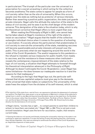in particularism. $^9\mathrm{The}$  triumph of the particular over the universal is a prescription for a social unraveling in which acting for the collective becomes anathema. The state comes to appear for people as a form of civil society rather than as the site of universality. When this occurs, people view the state as nothing but as protector of various interests. Rather than asserting a positive public organization, the state just guards private interests. Hegel calls this attitude the reduction of the state to the status of civil society, and he sees it as the chief danger of the modern universe. This denigration of the state is the situation today, which is why the theoretical corrective that Hegel offers is more urgent than ever.

When reading the *Philosophy of Right* in 2021, one cannot help but be taken aback at Hegel's insistence of the right of the state to insist on vaccination.10 Hegel argues that the health of the collective outweighs individual choice when it comes to the question of schooling or vaccination. If a society allows the particularism that predominates in civil society to overrule the universality of the state, mandating vaccines will become questionable and private interests will prevail over the public. This is precisely what we see happening around the world in the midst of the Covid-19 pandemic. The woeful response to this pandemic the refusal to mandate various measures for public health, from masks to vaccines, and the resistance to these measures when instituted reveals the contemporary impoverishment of the state relative to the logic of civil society, a situation that Hegel attempts to forestall through his theoretical interpretation advanced in the *Philosophy of Right*. Although he doesn't anticipate the Covid-19 pandemic—even Hegel has some limitations—he does foresee our inadequate reaction to it and the reasons for that inadequacy.<sup>11</sup>

According to the logic that Hegel lays out, the particular selfinterest that drives capitalist subjects must give way to the demands of the universal that state makes on subjectivity. The universality of the state frees the subject from the dictates of its self-interest, which is what

10 Hegel claims, "society has a right … to compel parents to send their children to school, to have them vaccinated, etc." Hegel 1991, p. 264. This is not just a modernized translation. Hegel uses the term for vaccination, *impfen*, that remains current today.

C R I S I S

<sup>9</sup> The rejection of the state form—and all form—as oppressive indicates the abasement of contemporary politics. The flight from state power is not an expression of Marxism's critique of the state but a retreat from it, which is why Marxist theorist Anna Kornbluh insists on the state form. For Kornbluh, "form is the answer rather than the problem." Anna Kornbluh, *The Order of Forms: Realism, Formalism, and Social Space* (Chicago: University of Chicago Press, 2019), 162. Dissolving forms plays directly into the dominance of civil society.

<sup>11</sup> Viewing the state as civil society and thereby missing the universality inhering in the state is not confining to rapacious capitalists. It is also the failing of many left-leaning theorists, chief among them Giorgio Agamben, who sees any attempt to ameliorate the effects of the Covid-19 pandemic as an illegitimate expansion of state power.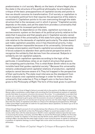predominates in civil society. Merely on the basis of where Hegel places the state in the structure of his political philosophy, he articulates his critique of the basic presuppositions of capitalist society and points to how we should conceive its transformation. Civil society or capitalism is an incomplete political form that requires the perspective of the state to constitute it. Capitalism points to its own overcoming through the state structure that is the necessary soil in which it grows.<sup>12</sup> Capitalist society depends on the state, and yet the state form provides a universality that points beyond its incessant particularism.

Despite its dependence on the state, capitalism survives as a socioeconomic system on the basis of its political priority relative to the state that it assumes and that people give it. Capitalist society cannot continue intact if the universality of the state form plays a determinative role relative to the demands of capitalist particularity. The state doesn't just make capitalism possible; once it has theoretical priority, it also makes capitalism impossible because of its universality. Universality is always emancipatory and thwarts capitalist accumulation because it forces subjects to abandon their particularist perspective and to recognize the solidarity that derives from the universal. Subjects in solidarity are not capitalist subjects.

Although capitalism operates according to the logic of the particular, it nonetheless relies on an implicit structure that governs the competing particularities. This is what Adam Smith refers to as the invisible hand that guides capitalist society.13 Because this universality remains undeveloped amid capitalist relations of production, capitalist subjects cannot become aware of it. They toil trapped in the perspective of their particularity. The state must intervene as the standpoint from which subjects view capitalist exchange in order for them to see the universality that underlies it. This is Hegel's aim in the form that he gives to the *Philosophy of Right*. The form of this book gives it a political

13 Even though Hegel's account of civil society betrays the influence of his reading of Adam Smith's *Wealth of Nations*, had Smith written the *Philosophy of Right*, he would have ended it with civil society rather than with the state because in Smith's vision capitalist relations have the last word in structuring the society. Ironically, were Karl Marx to rewrite the *Philosophy of Right*, his first step would be to reorder its chapters in the same way that Smith would, albeit for different reasons. According to Marx, the idea that the state might curtail or even trump the power of capital is nothing but a symptom of capitalist ideology, to which Hegel falls victim when he structures his work of political philosophy.

I S I S & C R I T I Q U E / Volume 8 Issue 2

C R

<sup>12</sup> Although he is critical of Hegel's failure to accede fully to the position of the Marxist materialist, Georg Lukács nonetheless credits Hegel with providing the first philosophical analysis of capitalist society that takes its economic structure into account. He writes, "it is undoubtedly no accident that the man who completed the edifice of idealist dialectics was the *only* philosopher of the age to have made a *serious* attempt to get to grips with the economic structure of capitalist society." Lukács 1976, p. 565. By giving a space for civil society but not giving it priority over the state, Hegel simultaneously describes the reality of capitalism and offers a critique of its ideological presuppositions. Although Lukács gives Hegel a great deal of credit for his speculation about capitalism, he doesn't go so far as to acknowledge him as a critic.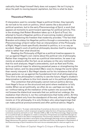radicality that Hegel himself likely does not suspect. He isn't trying to show the path to moving beyond capitalism, but this is what he does.

# **Theoretical Politics**

If interpreters want to consider Hegel a political thinker, they typically do not look to his work on politics, which seems like a document of political quietism, but to the early *Phenomenology of Spirit*, a work that appears at moments to point toward openings for political activity. This is the strategy that Robert Brandom takes up in *A Spirit of Trust*, his attempt to found a Hegelian politics of overcoming modern alienation without abandoning the freedom that modernity provides.<sup>14</sup> The fact that Brandom articulates his Hegelian politics through a commentary on the *Phenomenology of Spirit* rather than an interpretation of the *Philosophy of Right*, Hegel's book specifically devoted to politics, is in no way an accident. Hegel's work of political philosophy devotes itself to analyzing what is rather than what should be.

Reading the *Philosophy of Right* as a political treatise appears to run up against Hegel's own claims about the political role of philosophy. Rather than imagining his work as a political intervention, he sees it as merely an analysis after the fact, as an autopsy on the very institutions that his work analyzes. Hegel's antecedents, such as Kant and Fichte, write up political maps for attaining perpetual peace or strengthening the German nation, and his descendent Marx vows to change the world rather than merely interpret it. But Hegel stands out for his insistence that all of these gestures run up against the foundational limit of all philosophizing. This limit is the philosopher's inability to see the future. Hegel's stubborn determination to adhere to this limit stands out in his political philosophy.

The contention that philosophy cannot instruct politics derives from Hegel's focus on the structural end point where mediation is fully visible. When we act politically, we often do so—perhaps we must do so—without taking all the mediation of the system into account. We do not foresee the dialectical reversals that our political act undergo, the mediation that informs it, nor the contradictions that holds within. All this becomes evident only from the standpoint of the end, which is why Hegel insists on it for philosophy. It is only thinkers who value beginnings that can make political pronouncements and offer political advice. Hegel's

C R

233

<sup>14</sup> As Brandom puts it, "A proper understanding of ourselves as discursive creatures obliges us to institute a community in which reciprocal recognition takes the form of forgiving recollection: a community bound by and built on trust." Brandom 2019, p. 635. In the *Phenomenology*, Hegel provides for us a political task, an obligation to create a community of forgiveness accomplished through recognizing our own fault in the other's transgressions. The enormous obstacle in the way of Brandom's politicization of Hegel is the latter's excoriation of any philosophy that ends with an *ought* [*Sollen*]. Hegel denounces this position unequivocally in both Kant and Fichte, but Brandom's interpretation of the *Phenomenology of Spirit* transforms this work into an extended plea for what we ought to do.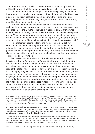commitment to the end is also his commitment to philosophy's lack of a political bearing, which he announces right away in his work on politics.

The most memorable passage in the *Philosophy of Right* comes in the preface. It is Hegel's confession of philosophy's political fecklessness. In contrast to direct political acts, philosophy's theorizing of politics what Hegel does in the *Philosophy of Right*—cannot transform the world, or so Hegel seems to admit. He states,

A further word on the subject of *issuing instructions* on how the world ought to be: philosophy, at any rate, always comes too late to perform this function. As the *thought* of the world, it appears only at a time when actuality has gone through its formative process and attained its completed state…. When philosophy paints its grey in grey, a shape of life has grown old, and it cannot be rejuvenated, but only recognized, by the grey in grey of philosophy; the owl of Minerva begins its flight only with the onset of dusk.15

This statement seems to leave the would-be political activist with little to work with. As Hegel formulates it, political activism and philosophy have no common ground. Hegel offers no explicit political guidance and expressly prohibits philosophy from doing so.16 Philosophical wisdom arrives after the political problem has been resolved, not in time to prescribe an intervention.

We certainly cannot take the political arrangement that Hegel describes in the *Philosophy of Right* as an ideal toward which to aspire. This is a point that Robert Pippin insists on in an effort to dampen any enthusiasm for the particular structure—including the monarch at the head of the state—that Hegel puts forward in this work. Pippin claims that one must apply Hegel's own claim about the tardiness of philosophy to his own work. The political apparatus that he analyzes here "has grown old, is dying, and only because of this can it now be comprehended by Hegel. It is hardly the image one would propose were one trying to claim that we had reached some utopia of realized reason."<sup>17</sup> According to Pippin, Hegel cannot be advocating the relationship between the family, civil society, and the state that he lays out here, simply because he argues against philosophy's ability to advocate anything politically.

16 According to Slavoj Žižek, Hegel's refusal to offer any political program for the future is the index of his radicality as a political thinker. In *Hegel in a Wired Brain*, he writes, "Hegel's thought stands for a radical opening towards the future: there is in Hegel no eschatology, no image of the bright (or dark) future towards which our epoch tends." Žižek 2020, p. 2.

17 Pippin 2013, p. 18. Pippin believes that Hegel sees our political task not as accomplished but as unending. He claims, "it is likely that the state, understood as the realization of freedom, does not have anything like a permanently achieved, eternal structure, and that … historical contingencies will always pose anew the question of the rationality of the actual." Pippin 2019, p. 312.

S I S & C R I T I Q U E / Volume 8

C R I

<sup>15</sup> Hegel 1991, p. 23. Rebecca Comay sees the space for politics within Hegel's statement that appears to confess the political inutility of philosophy. She writes, "The indiscernible gap between gray and gray marks the interval in which the spectator can find a foothold for intervention. Repetition marks the formal difference separating the present from itself: it identifies the site where the subject's agency is both reflected and repelled." Comay 2011, p. 144.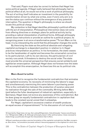That said, Pippin must also be correct to believe that Hegel has some political agenda. If Hegel really believed that philosophy had no political effect at all, he would not write a work of political philosophy. The act of writing itself indicates an investment in the possibility for transformation driven by what one writes, even if one's only aim is to see the status quo continue without the emergence of any potential interruption. The question in Hegel's philosophy is where we should locate this political charge.

My contention is that Hegel identifies philosophy's political efficacy with the act of interpretation. Philosophical intervention does not come from offering directives or strategic plans for political activity but by providing a radical interpretation of political forms. Although philosophy cannot issue instructions or provide an outline for a political project, its recognizing power is at once a transformative power.<sup>18</sup> To turn Marx on his head, it is by interpreting the world that the philosopher changes the world.

By theorizing the state as the political absolute and relegating capitalist exchange to a dependent position in relation to it, Hegel practices interpretation as politics. In his formulation, the state ceases to be the handmaiden of capital and becomes the universalist corrective to its particularism. Left to its own devices, the particularism of civil society runs amok. It threatens to destroy the social order. The state must provide the universal perspective that ensures social solidarity and egalitarian emancipation. Although Hegel does not foresee how the state will accomplish this emancipation, he theorizes this as its political role.

#### **Marx Avant la Lettre**

235

Marx is the first to recognize the fundamental contradiction that animates the capitalist economy: its necessity of minimizing the laborer's wage and simultaneously maximizing this same laborer's purchasing power. This is the contradiction between the production of surplus value and its realization through the sale of the commodity. Writing before Marx (and before the fuller development of industrial capitalism, especially in Germany), Hegel does not evince any awareness of this contradiction. But he does grasp an equally fundamental contradiction in capitalism that leads to the constant social unrest that it unleashes.

For Hegel, capitalism's excessive creation of wealth produces an equal excess of impoverishment.<sup>19</sup> In his discussion of civil society

<sup>18</sup> Importantly, Hegel does not say, like Ludwig Wittgenstein, that philosophy "leaves everything as it is." Wittgenstein 2009, p. 55. Although philosophy doesn't offer political plans, it does necessarily shake things up politically through the interpretation that it offers.

<sup>19</sup> Rosa Luxemburg provides a precise formulation of the capitalist contradiction that Marx recognizes. She claims, "accumulation proceeds without it becoming apparent in the slightest for which new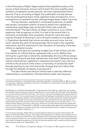in the *Philosophy of Right*, Hegel explains that capitalist society is the source of both extremes of luxury and of want. The more wealthy some members of capitalist society become, the more impoverished others become. This is, according to Hegel, the unalterable rule that derives from the philosophical basis of the capitalist mode of production. It is a contradiction of capitalist society, although Hegel doesn't label it as such.

The link between capitalism's unchecked production of wealth and equally unchecked creation of poverty stems from capitalism's relationship what Hegel sees as the bad infinity [*die schlechte Unendlichkeit*].<sup>20</sup> The bad infinity, as Hegel conceives it, is an infinite expansion that recognizes no limit. It is bad to the extent that it is inherently unrealizable. One constantly strives for more but never reaches the goal of attaining it, since the goal recedes as one approaches it. Capitalism demands that one accumulate more and more, but one never reaches the point of having enough. *Not enough* is the capitalist watchword, and this watchword is the indication of centrality of the bad infinity in capitalist society.

Hegel contrasts the unending straight line of bad infinity with the true infinite, an infinite that he represents with a circle. Rather than striving for a goal that is inherently unattainable, the true infinite always reaches its end point and finds satisfaction with itself.<sup>21</sup> Whereas the bad infinite characterizes capitalism's ceaseless striving for more, the true infinite is the structure of the state's universality. It constitutes itself through positing its own limit and exists through that limit rather than through the attempt constantly to go beyond it.

The bad infinite and the true infinite have a radically different relationship to contradiction. The bad infinite seeks more because

20 Although he concludes that Hegel fails to logically derive the state as a realm that can produce the solidarity that will restrain the particularizing drive of civil society, Terry Pinkard nicely identifies civil society with the bad infinite. He says, "On its own, civil society (embodying the proper object of "political economy") is structured around the bad infinite. Needs get multiplied to infinity, the necessity for either expanding capital or being swallowed by other traders pushes the traders themselves to more and more distant connections, and production and consumption become decoupled once trade extends beyond the bounds of local communities. The structure of civil society is the n + 1 of the bad infinite: Always one more in the series, all the way up to the infinite and all the paradoxes it seems to bring with it." Pinkard 2017, p, 323-324. In other words, Hegel defines the capitalist economy as a structure completely overtaken by the logic of the bad infinite and thus unable to actualize any satisfaction for subjects caught up in it.

21 In the *Science of Logic*, Hegel offers a contrast between these two versions of the infinite. He begins with the bad infinite, saying, "The image of the progression in infinity is the straight *line*; the infinite is only at the two limits of this line, and always only is where the latter (which is existence) is not but *transcends itself*, in its non-existence, that is, in the indeterminate. As true infinite, bent back upon itself, its image becomes the *circle*, the line that has reached itself, closed and wholly present, without *beginning* and *end*." Hegel 2010, p. 119.

I S & C R I T I Q U E / Volume 8 Issue 2

C R I S

236

consumers production is ultimately being constantly expanded." Luxemburg 2015, p. 236. According to Luxemburg, capitalism attempts to solve this contradiction by resorting to colonization, but this inevitably fails in her eyes.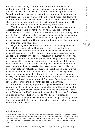it is bent on overcoming contradiction. It looks to a future free from contradiction, but it is just this search for overcoming contradiction that continues to reproduce it, as is clearly evident in capitalist society. Capitalism's drive to escape contradictions is a source of its multiplying contradictions. The true infinite, on the other hand, reconciles itself with contradiction. Rather than seeking to overcome it, contradiction becomes what sustains the true infinite and drives it around its circular path. The true infinite manifests itself in the universality of the state.

The dominance of the bad infinite in civil society leaves capitalist subjects always wanting what they don't have. They desire infinite accumulation. As a result, no amount of accumulation is ever enough. The more that one has, the more that one experiences oneself as missing what one desires. This is why the richest individuals in capitalist society are always the most avaricious. They experience their unreconciled lack much more than those who have little.

Hegel recognizes that there is a dialectical relationship between those who have too much and those who have too little. Capitalist desire refuses to abandon accumulation at any point, which ensures that some will have almost nothing in order that others can have too much. Capitalism's constant drive for more results in a situation where the few accumulate vast fortunes at the expense of the many who toil in misery and become utterly debased. Hegel writes, "The tendency of the social condition towards an indeterminate multiplication and specification of needs, means, and pleasures—i.e., *luxury*—a tendency which, like the distinction between natural and educated needs, has no limits, involves an equally infinite increase in dependence and want."<sup>22</sup> As capitalism creates an increasing quantity of wealth, it requires an equal increase in poverty. The drive to accumulate cannot allow any stone—or any potential source of wealth—to remain unturned. The mass of people become buried beneath these stones turned over by capitalism's winners.

Capitalism's inability to produce subjects who recognize their own satisfaction also leads to an infinite production of additional commodities that eventually become new necessities. In his analysis of this process in the *Philosophy of Right*, Hegel anticipates what Marx in the *Grundrisse* calls capitalism's production of needs.23 Civil society creates an environment in which people can enrich themselves by convincing others that there are an infinite number of items that they need to become truly comfortable in the world.

22 Hegel, 1991, p. 231. C R I S I S & C R I T

<sup>23</sup> Marx states, "Production not only supplies a material for the need, but it also supplies a need for the material…. The need which consumption feels for the object is created by the perception of it. The object of art—like every other product—creates a public which is sensitive to art and enjoys beauty. Production thus not only creates an object for the subject, but also a subject for the object." Marx 1993, p. 92.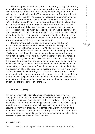But the supposed need for comfort is, according to Hegel, inherently impossible to satisfy. Every increase in comfort creates a new discomfort. The soft mattress allows one to fall asleep comfortably but results in waking with a terrible backache. The heater saves one from the cold but leaves one's skin too dry. The ubiquity of possibilities for entertainment leave one with nothing desirable to watch. And so on. Hegel writes, "What the English call 'comfortable' is something utterly inexhaustible; its ramifications are infinite, for every comfort in turn reveals its less comfortable side, and the resulting inventions are endless. A need is therefore created not so much by those who experience it directly as by those who seek to profit by its emergence."<sup>24</sup> Marx could not have said it better himself. Even when capitalism caters to the desire for comfort, it cannot help but create additional discomforts that it must subsequently attempt to remedy with an additional commodity.

But the very project of producing a comfortable life through accumulating an endless number of commodities is a betrayal of subjectivity itself. The *Philosophy of Right* includes a surprising diatribe against civil society's drive to keep us comfortable. Increasing the comfort of existence is not the path to emancipation. An emancipated society would not be one that finally did away with discomfort once and for all. It would be a society that accepted a certain level of discomfort as the price that we pay for our spiritual existence, for our break from animality. Other animals will always be more comfortable in their worlds than subjects are because they lack the alienation from place that comes with subjectivity. The discomfort of our alienation is the measure of our freedom. Unlike civil society, the state demands a degree of discomfort. It constantly reminds us of our alienation from our natural being through its prohibitions. Rather than promising the possibility of overcoming alienation with the image of more in the way that capitalism does, the state requires the acceptance of it through adherence to the limit of the law.

# **Public Property**

The basis for capitalist society is the immediacy of property. The presupposition of capitalist relations is that I can possess property prior to entering into social relations, even if this property is nothing but my own body. As a result of possessing property, I have the ability to engage in exchange with others in order to increase my amount of property or acquire new forms of property. In order for capitalism to function as it does, property must be defined as essentially private, as determined first and foremost by the subject's own private actions. I must be able to have property regardless of the state of the state.

24 Hegel 1991, p. 229.

S & C R I T  $\mathbf{I}$ Q U E / Volume 8

Issue 2

C R I S I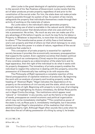John Locke is the great ideologist of capitalist property relations. In the second of his *Two Treatises of Government*, Locke insists that the act of labor produces private property regardless of and prior to the constitution of the social order. For him, the state does not make private property possible through its system of law. Its system of law merely safeguards the property that individuals themselves create through their activity of working on the materials of nature.

As Locke sees it, the individual's labor generates property through making use of what is available in the natural world. Utility has a transformative power that denaturalizes what one uses and turns it into a possession. He writes, "As much as any one can make use of to any advantage of life before it spoils; so much he may fix by his labour a Property in. Whatever is beyond this, is more than his share, and belongs to others."25 The transformative power of utility fixes a limit between one's own property and that of others (or that which belongs to no one). Useful work has this power in a state of nature, regardless of the social conditions that underlie it.

This conception of private property is essential for capitalist society because it provides the economically necessary presupposition that supports the system. Even capitalist societies that disdain political liberalism (such as contemporary China) require this presupposition. If one considers property as a determination of the state form and its legal apparatus, then the right of the individual to do what it wants with its property disappears. The immediacy of private property enables the individual to neglect the collective in dealing with this property, since the possession of it theoretically has nothing to do with anyone else.

The *Philosophy of Right* represents a complete rejection of this liberal presupposition of capitalist relations of production. By beginning the work with an analysis of property and locating property under the heading of "Abstract Right," Hegel indicates the dependence of my property on the existence of civil society and the state, which are more concrete forms of right. Beginning with property is not a way of privileging it but a way of highlighting its illusory immediacy. As Gillian Rose points out in *Hegel Contra Sociology*, "the institutions which appear most 'natural' or 'immediate' in any society, such as the family or the sphere of needs, presuppose an overall economic and political organization which may not be immediately intelligible."<sup>26</sup> The constitutive power of the state is not, as Rose puts it, immediately intelligible, but it becomes evident through Hegel's interpretation of the mediation that informs abstract property right. Although Hegel often sounds like Locke when he describes the act of taking possession of a thing by using it, he breaks

25 Locke 1988, p. 290.

26 Rose 1981, p. 50.

Issue 2

C R I S I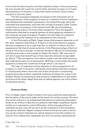from Locke by theorizing the role that mediation plays in this possession. He only sounds like Locke for a brief while, and then he goes on to frame the possession of property in ways that would certainly cause Locke's stomach to become upset.

The fact of property depends not simply on the individual's act of taking possession of the property. It relies on a network of social mediation that validates the individual's possession, the method through which the individual took possession, and even the concept of property itself. Contra Locke, there is no property in the natural world. My use of something means nothing unless it receives state recognition. Thus, the apparent individuality attached to property betrays its thoroughgoing mediation in the universal concept of property. Property isn't the index of a subject's individuality but the measure of its submission to the universal.

In the *Philosophy of Right*, Hegel shows that property depends on all the other relations that follow it. Property is the most abstract category because it appears to be a right that has no relation to others, but this appearance, like that of sense certainty in the *Phenomenology of Spirit* or being in the *Science of Logic*, is entirely deceptive. My act of constituting something as mine is not enough for Hegel. He states, "My inner act of will which says that something is mine must also become recognizable by others."<sup>27</sup> This recognition from others comes from the state structure that undergirds every act of possession. Nothing is mine unless the state apparatus creates the conditions through which I can have it.

The logic of capitalist society depends on the presupposition of property. In order to function, individuals must believe that their property is constitutively theirs. Once the role of the universal in constituting property becomes evident, capitalist relations of production cease to be tenable. Simply by exposing private property's dependence on the public structure of the state, Hegel launches an attack against one of the pillars of capitalist society.

# **Contract Killer**

Prior to Hegel, major modern thinkers from every political camp theorize the formation of the social order as the result of a social contract. The idea of a social contract is so widespread that almost no political philosopher thinks to do without it. But this is a position that Hegel completely rejects insofar as it represents a silent affirmation of the presuppositions of capitalist society, every bit as much as the investment in the immediacy of property relations. Hegel's refusal to think of the social order in terms of a social contract indicates his radical departure from the tradition he inherits. This refusal even separates him from his primary philosophical

27 Hegel 1991, p. 81.

S I S & C R I T  $\mathbf{I}$ Q U E / Volume 8

Issue 2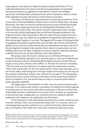antecedents in the German Idealist tradition, Kant and Fichte.<sup>28</sup> It is a radicality that drives him away from the presuppositions of capitalist society and toward an egalitarian alternative in which the isolated particular individual does not preexist the social collective, which is what both capitalist society and social contract theory proclaim.

The theory of the social contract knows no political boundaries. From conservative Thomas Hobbes to liberal John Locke to leftist Jean-Jacques Rousseau, the idea of a social contract becomes a way of thinking through how a coherent organization forms out of disparate individuals with no inherent ties to each other. The social contract implies that each member of the society tacitly legitimates the social bond through acceding to the original contract that constitutes it. No one views this as a literal contract that members sign but rather as a metaphorical agreement that inheres in their active participation in society. The appeal of this way of thinking is that it suggests that political authorities must do their part for the individual to adhere to the contract, while individuals can themselves decide to opt out if the arrangement ceases to be salutary. Even when a conservative such as Hobbes advances the idea, it appears to have an implicit radicality because it admits that one can always withhold one's participation.

Rousseau sees the social contract as an ultimate affirmation of freedom. Everything that goes on in society goes on with our fundamental consent because we are constantly affirming the social contract that we might, at any point, choose not to affirm. In *The Social Contract*, he states, "There is only one law which by its nature requires unanimous consent. That is the social pact: for the civil association is the most voluntary act in the world; every man being born free and master of himself, no one may on any pretext whatsoever subject him without his consent."<sup>29</sup> For Rousseau, the existence of a social contract is the basis of the social bond. Without some conception of it, one would have no way to conceive what holds a given populace together.

As Hegel sees it, the freedom to enter into the social contract does not exist. It is a liberal and illusory conception of subjectivity that imagines it existing prior to the social order that constitutes it. We are not first free individuals and then subjected to the social order. Instead, our subjection to the social order inaugurates our existence as free subjects. We are subjected into freedom, not subjected out of freedom.

If one believes in free individuals existing prior to their entrance into a social contract, then one confuses the state with civil society, which is what Hegel sees as the cardinal error in political thinking. One misses the universality of the state form and sees instead an atomized mass

29 Rousseau 1997, p. 123.

& C R I T I Q U E / Volume 8

C R I S I S

Issue 2

<sup>28</sup> While Fichte doesn't mention the term "social contract," he does theorize membership in a society as the limitation of one's natural freedom to accommodate the freedom of others, which is the primary tenet of social contract theory. This is a philosophical move that Hegel would not make.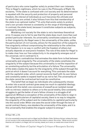of particulars who come together solely to protect their own interests. This is Hegel's nightmare, which he rues in the *Philosophy of Right*. He exclaims, "If the state is confused with civil society and its determination is equated with the security and protection of property and personal freedom, *the interest of individuals as such* becomes the ultimate end for which they are united; it also follows from this that membership of the state is an optional matter."30 A unity that exists solely to protect one's own private interest is constantly on the verge of disintegrating. In contrast, the state bond, because it constitutes subjects as subjects, necessarily endures.

Mistaking civil society for the state is not a harmless theoretical error. It causes one to fail to see that the state does much more than just protect particular interests. Its universality constitutes subjects as free in their singularity. As Hegel sees it, the universality of the state, unlike the particularism of civil society, allows for the assertion of the subject's free singularity without compromising the relationship to the collective. This freedom is in no way in conflict with the freedom of others but actually depends on everyone's freedom. The role of the state for Hegel is to make clear how our free subjectivity in its singularity emerges out of the universal, not in contrast to it.

The basic contradiction that animates the state form is that between universality and singularity. The universality of the state constitutes the singularity of the subject because this universality is not the imposition of an unrelenting authority but the articulation of a failure. The universality of the state creates the space for the singularity of the subject through the point at which it doesn't account for everything. This contrasts the state with the capitalist order, which cannot reconcile itself with its own failure and constantly seeks to expand itself so as not to fail. The universality of the state cannot be contractual but must be constitutive.

The belief that we begin as individuals who subsequently choose to enter into a social contract gives away too much to capitalist ideology. Armed with this belief, one conceives of oneself as an isolated monad with no intrinsic relation to others or to the social totality. One constantly struggles to get the better of one's fellow citizens in a struggle of all against all. Without a conception of the universality of the state to reign in the raging particularism of capitalist society, there is no way to integrate the singularity of the subject and its irreducibility to capitalist particularity into the social order. When one sees the social order through the lens of social contract theory, one slanders the universality of the state, and it is this universality that enables the singular subject to emerge.<sup>31</sup>

30 Hegel 1991, p. 276.

<sup>31</sup> In his remarkably prescient work on *Hegel and the Modern State*, Schlomo Avineri relates the logic of civil society to the understanding and that of the state to reason. He writes, "What social contract theories call a state is, to Hegel, but civil society, based, as it were, on needs and a lower kind of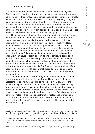# **The Perils of Civility**

More than Marx, Hegel gives capitalism its due. In the *Philosophy of Right*, capitalist relations of production allow for the modern flowering of particularity. In this sense, capitalism is essential to the modernist break. While traditional societies create social coherence by giving everyone a defined social position, capitalist modernity ruptures this coherence through the elimination of all proper positions. Traditional societies make no allowance for the particular, but capitalist society privileges the particular and allows it to defy any assigned social positioning. Capitalist modernity alienates the individual from its belonging to society.

Hegel celebrates the alienating power of modernity. But because capitalism actually becomes a barrier to the subject's alienation for Hegel, he develops a formal critique of it. Whereas Marx criticizes capitalism for alienating workers from their own productivity, Hegel implicitly takes it to task for preventing the subject from recognizing its alienation. Under capitalism or in civil society, one is always striving to accumulate enough to alleviate one's alienation and to overcome all contradictions. This promise of an unalienated future is one that capitalism can never redeem, and yet its entire structure depends on an investment in it. The universality of the state, in contrast, enables subjects to recognize their singularity through their alienation in the state. Capitalism becomes a barrier to the recognition of alienation that only the state form makes possible. The freedom that capitalism offers becomes a circumscribed freedom that depends on reducing others to unfreedom. This is the result of the system's emphasis on absolute particularism.

The problem is that particularity under capitalism cannot simply respect other particularities. Instead, what Hegel calls civil society, according to its own fundamental drive, is not civil at all. Under the domain of capital, particularity becomes unhinged and ceases to pay any attention to others, except insofar as they can be used to serve the particular's own interest. This leads to a generalized unfreedom that prevails in capitalist society. Even though capitalism's insistence on the particular helps to free the subject from the rootedness of traditional society, it becomes a new form of fetter that obscures the necessary universality of freedom.32 There can be no universal freedom under the constraints of capital.

knowledge—'understanding.' This lower kind of knowledge, *Verstand*, is juxtaposed against the higher level of reason, *Vernunft*, which is to be found in the state." Avineri 1972, p. 143. Social contract theory remains stuck in the understanding and cannot accede to reason.

<sup>32</sup> Paul Franco points out, "An individual is rationally or truly free only if he is actively engaged in promoting a universal end above and beyond his merely private or particular ends." Franco 1999, p. 276.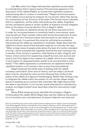Like Marx after him, Hegel believes that capitalist society leads to contradictions that it cannot resolve. This becomes apparent in his discussion of the rabble [*Pöbel*], an excess that capitalism produces without being able to contain or ameliorate.<sup>33</sup> Hegel's entire discussion of the rabble occurs during his analysis of civil society rather than during his commentary on the structure of the state. This formal choice indicates that it is capitalism, not the state, that produces the rabble. Capitalist society necessarily leaves a certain number of subjects out and relegates them to the status of social detritus. This is Hegel's rabble.

The excesses of capitalist society do not allow everyone to fit in. In order for its excessiveness to constantly lead to more excess, some must be left out. Their outsider status both drives the production of more and is a result of it. Everyone wants more because no one wants to be left out. And yet, it is precisely this drive for unlimited accumulation that produces the rabble as capitalism's remainder. Hegel describes the rabble as a direct result of the demands made by civil society. He says, "When a large mass of people sinks below the level of a certain standard of living—which automatically regulates itself at the level necessary for a member of the society in question—that feeling of right, integrity, and honour which comes from supporting oneself by one's own activity and work is lost. This leads to the creation of a *rabble*, which is turn makes it much easier for disproportionate wealth to be concentrated in a few hands."34 The rabble represents a contradiction of capitalism that the capitalist system—civil society—has no way of accommodating.

Hegel rehearses the failed ways of dealing with the rabble, including colonization. Even acts of charity, such as today's universal basic income, necessarily come up short because they reinforce the status of the rabble as a figure of nonbelonging. Rather than finding a way to integrate the rabble within the system of civil society, Hegel simply leaves it standing as an unreconciled remainder. We might assume that the state's intervention in civil society would alleviate this contradictory product, but Hegel himself never describes what this intervention might look like.

Slavoj Žižek perspicaciously identifies the misstep in Hegel's thinking about the rabble. While Hegel does see the rabble as the product of civil society's own contradictions, he doesn't take the next step and

34 Hegel 1991, p. 266.

I S & C R I T I Q U E / Volume 8 Issue 2

C R I S

The State of Capital: Hegel's Critique of Bourgeois Society

<sup>33</sup> In his compelling discussion of the problem that the rabble poses for Hegel's political philosophy, Frank Ruda suggests that the irresolvability of this problem indicates a limit in philosophy itself. It requires a political intervention in order to solve the problem, not a philosophical one. In other words, it necessitates Marx rather than Hegel. As he puts it, "Marx introduces the true primacy of practice into philosophy, the primacy of the autonomy of political practice. There is no political thinking which could still refer with a sovereign gesture to the invariance of the political and suspend the conditioning of philosophy by (the singularity) of politics. Hegel's greatness consists in having marked this conditioning in the name 'rabble.'" Ruda 2011, p. 179.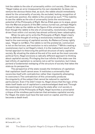link the rabble to the site of universality within civil society. Žižek claims, "Hegel makes an error (measured by his own standards): he does not venture the obvious thesis that, as such, the rabble should immediately stand for the universality of society. As excluded, lacking recognition of its particular position, the rabble is the universal as such." $35$ The inability to see the rabble as the site of universality limits the revolutionary potential of the *Philosophy of Right*. But as Žižek goes on to argue, given how the Marxist projects of the 20th century turned out, perhaps Hegel's refusal to take up the rabble as the figure of the universal is propitious. Even though the rabble is the site of universality, revolutionary change driven from within civil society has almost uniformly been catastrophic.

When he sets out to write the *Philosophy of Right*, Hegel clearly has no definite thought of writing a revolutionary treatise that would lead to the overcoming of capitalist society. As Rebecca Comay rightly says, "Hegel is not Marx. The rabble is not the proletariat, communism is not on the horizon, and revolution is not a solution."36 While creating a revolutionary text is not Hegel's intent, it is the inadvertent result of his formal approach to theorizing the political structure of early capitalist society. By situating the state at the end of his work as the most concrete political form, Hegel envisions a radically different approach to thinking about capitalist society. Privileging the true infinite of the state over the bad infinity of capitalism is certainly not a call for revolution, but it does portend a fundamental reshaping of the structure of society that takes the state as its perspective.

The perspective of the state reveals the limitations of capitalism that capitalism itself cannot avow. It institutes a universality that reconciles itself with contradiction rather than impotently attempting to overcome it. The contradiction of this universality produces the singularity of the subject that cannot be reduced to capitalist particularism. Even if he didn't mean to, Hegel shows that the logic of the state itself leads out of capitalism's unacknowledged dead end. Through the seemingly innocent act of locating the state after civil society in the structure of the *Philosophy of Right*, Hegel launches a universalist critique of the mindless particularism that animates capitalist society. For Hegel, the state must have the last word on capital, and this word becomes a death knell.

C R I S I S & C R I T I Q U E

<sup>/</sup> Volume 8 Issue 2

<sup>35</sup> Žižek 2012, p. 433.

<sup>36</sup> Comay 2011, p. 141.